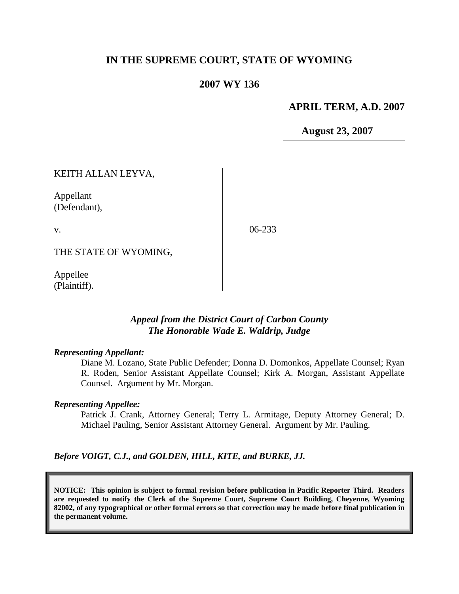### **IN THE SUPREME COURT, STATE OF WYOMING**

#### **2007 WY 136**

#### **APRIL TERM, A.D. 2007**

**August 23, 2007**

KEITH ALLAN LEYVA, Appellant (Defendant), v. THE STATE OF WYOMING, 06-233

Appellee (Plaintiff).

### *Appeal from the District Court of Carbon County The Honorable Wade E. Waldrip, Judge*

#### *Representing Appellant:*

Diane M. Lozano, State Public Defender; Donna D. Domonkos, Appellate Counsel; Ryan R. Roden, Senior Assistant Appellate Counsel; Kirk A. Morgan, Assistant Appellate Counsel. Argument by Mr. Morgan.

#### *Representing Appellee:*

Patrick J. Crank, Attorney General; Terry L. Armitage, Deputy Attorney General; D. Michael Pauling, Senior Assistant Attorney General. Argument by Mr. Pauling.

*Before VOIGT, C.J., and GOLDEN, HILL, KITE, and BURKE, JJ.*

**NOTICE: This opinion is subject to formal revision before publication in Pacific Reporter Third. Readers are requested to notify the Clerk of the Supreme Court, Supreme Court Building, Cheyenne, Wyoming 82002, of any typographical or other formal errors so that correction may be made before final publication in the permanent volume.**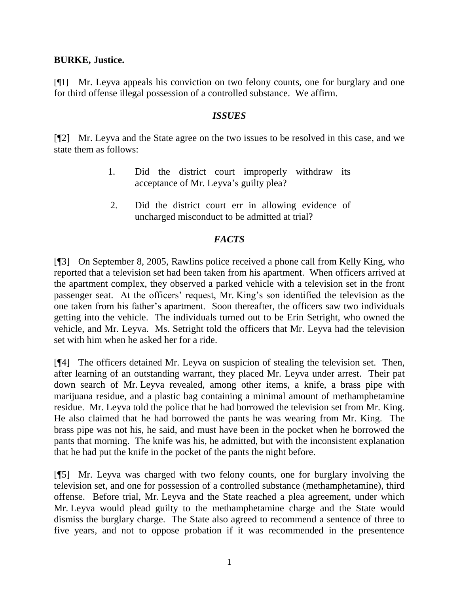## **BURKE, Justice.**

[¶1] Mr. Leyva appeals his conviction on two felony counts, one for burglary and one for third offense illegal possession of a controlled substance. We affirm.

## *ISSUES*

[¶2] Mr. Leyva and the State agree on the two issues to be resolved in this case, and we state them as follows:

- 1. Did the district court improperly withdraw its acceptance of Mr. Leyva's guilty plea?
- 2. Did the district court err in allowing evidence of uncharged misconduct to be admitted at trial?

## *FACTS*

[¶3] On September 8, 2005, Rawlins police received a phone call from Kelly King, who reported that a television set had been taken from his apartment. When officers arrived at the apartment complex, they observed a parked vehicle with a television set in the front passenger seat. At the officers' request, Mr. King's son identified the television as the one taken from his father"s apartment. Soon thereafter, the officers saw two individuals getting into the vehicle. The individuals turned out to be Erin Setright, who owned the vehicle, and Mr. Leyva. Ms. Setright told the officers that Mr. Leyva had the television set with him when he asked her for a ride.

[¶4] The officers detained Mr. Leyva on suspicion of stealing the television set. Then, after learning of an outstanding warrant, they placed Mr. Leyva under arrest. Their pat down search of Mr. Leyva revealed, among other items, a knife, a brass pipe with marijuana residue, and a plastic bag containing a minimal amount of methamphetamine residue. Mr. Leyva told the police that he had borrowed the television set from Mr. King. He also claimed that he had borrowed the pants he was wearing from Mr. King. The brass pipe was not his, he said, and must have been in the pocket when he borrowed the pants that morning. The knife was his, he admitted, but with the inconsistent explanation that he had put the knife in the pocket of the pants the night before.

[¶5] Mr. Leyva was charged with two felony counts, one for burglary involving the television set, and one for possession of a controlled substance (methamphetamine), third offense. Before trial, Mr. Leyva and the State reached a plea agreement, under which Mr. Leyva would plead guilty to the methamphetamine charge and the State would dismiss the burglary charge. The State also agreed to recommend a sentence of three to five years, and not to oppose probation if it was recommended in the presentence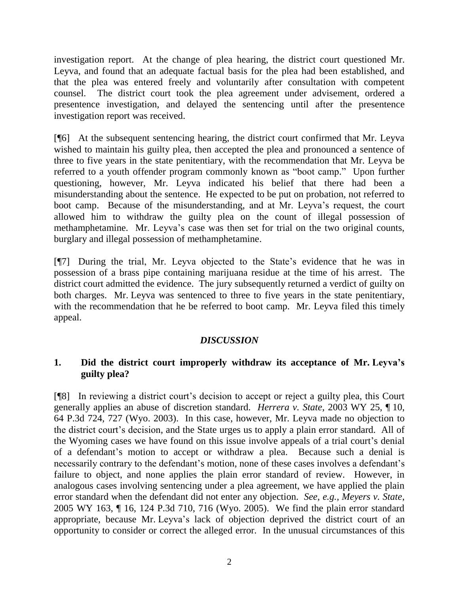investigation report. At the change of plea hearing, the district court questioned Mr. Leyva, and found that an adequate factual basis for the plea had been established, and that the plea was entered freely and voluntarily after consultation with competent counsel. The district court took the plea agreement under advisement, ordered a presentence investigation, and delayed the sentencing until after the presentence investigation report was received.

[¶6] At the subsequent sentencing hearing, the district court confirmed that Mr. Leyva wished to maintain his guilty plea, then accepted the plea and pronounced a sentence of three to five years in the state penitentiary, with the recommendation that Mr. Leyva be referred to a youth offender program commonly known as "boot camp." Upon further questioning, however, Mr. Leyva indicated his belief that there had been a misunderstanding about the sentence. He expected to be put on probation, not referred to boot camp. Because of the misunderstanding, and at Mr. Leyva"s request, the court allowed him to withdraw the guilty plea on the count of illegal possession of methamphetamine. Mr. Leyva"s case was then set for trial on the two original counts, burglary and illegal possession of methamphetamine.

[¶7] During the trial, Mr. Leyva objected to the State"s evidence that he was in possession of a brass pipe containing marijuana residue at the time of his arrest. The district court admitted the evidence. The jury subsequently returned a verdict of guilty on both charges. Mr. Leyva was sentenced to three to five years in the state penitentiary, with the recommendation that he be referred to boot camp. Mr. Leyva filed this timely appeal.

# *DISCUSSION*

# **1. Did the district court improperly withdraw its acceptance of Mr. Leyva's guilty plea?**

[¶8] In reviewing a district court"s decision to accept or reject a guilty plea, this Court generally applies an abuse of discretion standard. *Herrera v. State*, 2003 WY 25, ¶ 10, 64 P.3d 724, 727 (Wyo. 2003). In this case, however, Mr. Leyva made no objection to the district court's decision, and the State urges us to apply a plain error standard. All of the Wyoming cases we have found on this issue involve appeals of a trial court"s denial of a defendant"s motion to accept or withdraw a plea. Because such a denial is necessarily contrary to the defendant's motion, none of these cases involves a defendant's failure to object, and none applies the plain error standard of review. However, in analogous cases involving sentencing under a plea agreement, we have applied the plain error standard when the defendant did not enter any objection. *See*, *e.g.*, *Meyers v. State*, 2005 WY 163, ¶ 16, 124 P.3d 710, 716 (Wyo. 2005). We find the plain error standard appropriate, because Mr. Leyva"s lack of objection deprived the district court of an opportunity to consider or correct the alleged error. In the unusual circumstances of this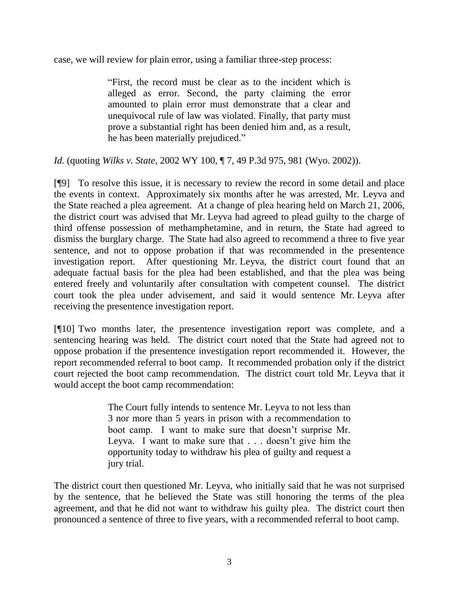case, we will review for plain error, using a familiar three-step process:

"First, the record must be clear as to the incident which is alleged as error. Second, the party claiming the error amounted to plain error must demonstrate that a clear and unequivocal rule of law was violated. Finally, that party must prove a substantial right has been denied him and, as a result, he has been materially prejudiced."

*Id.* (quoting *Wilks v. State*, 2002 WY 100, ¶ 7, 49 P.3d 975, 981 (Wyo. 2002)).

[¶9] To resolve this issue, it is necessary to review the record in some detail and place the events in context. Approximately six months after he was arrested, Mr. Leyva and the State reached a plea agreement. At a change of plea hearing held on March 21, 2006, the district court was advised that Mr. Leyva had agreed to plead guilty to the charge of third offense possession of methamphetamine, and in return, the State had agreed to dismiss the burglary charge. The State had also agreed to recommend a three to five year sentence, and not to oppose probation if that was recommended in the presentence investigation report. After questioning Mr. Leyva, the district court found that an adequate factual basis for the plea had been established, and that the plea was being entered freely and voluntarily after consultation with competent counsel. The district court took the plea under advisement, and said it would sentence Mr. Leyva after receiving the presentence investigation report.

[¶10] Two months later, the presentence investigation report was complete, and a sentencing hearing was held. The district court noted that the State had agreed not to oppose probation if the presentence investigation report recommended it. However, the report recommended referral to boot camp. It recommended probation only if the district court rejected the boot camp recommendation. The district court told Mr. Leyva that it would accept the boot camp recommendation:

> The Court fully intends to sentence Mr. Leyva to not less than 3 nor more than 5 years in prison with a recommendation to boot camp. I want to make sure that doesn"t surprise Mr. Leyva. I want to make sure that . . . doesn't give him the opportunity today to withdraw his plea of guilty and request a jury trial.

The district court then questioned Mr. Leyva, who initially said that he was not surprised by the sentence, that he believed the State was still honoring the terms of the plea agreement, and that he did not want to withdraw his guilty plea. The district court then pronounced a sentence of three to five years, with a recommended referral to boot camp.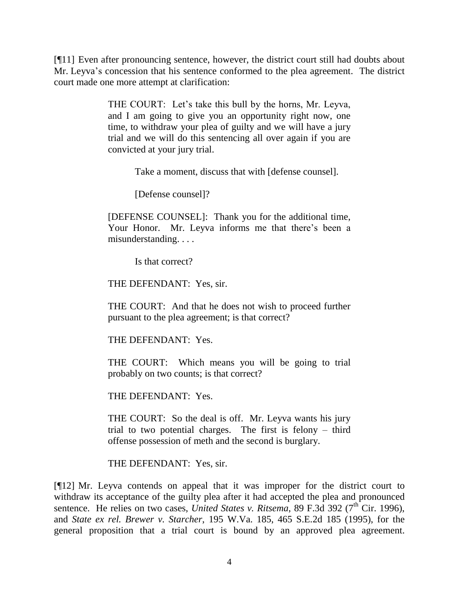[¶11] Even after pronouncing sentence, however, the district court still had doubts about Mr. Leyva"s concession that his sentence conformed to the plea agreement. The district court made one more attempt at clarification:

> THE COURT: Let's take this bull by the horns, Mr. Leyva, and I am going to give you an opportunity right now, one time, to withdraw your plea of guilty and we will have a jury trial and we will do this sentencing all over again if you are convicted at your jury trial.

> > Take a moment, discuss that with [defense counsel].

[Defense counsel]?

[DEFENSE COUNSEL]: Thank you for the additional time, Your Honor. Mr. Leyva informs me that there"s been a misunderstanding. . . .

Is that correct?

THE DEFENDANT: Yes, sir.

THE COURT: And that he does not wish to proceed further pursuant to the plea agreement; is that correct?

THE DEFENDANT: Yes.

THE COURT: Which means you will be going to trial probably on two counts; is that correct?

THE DEFENDANT: Yes.

THE COURT: So the deal is off. Mr. Leyva wants his jury trial to two potential charges. The first is felony – third offense possession of meth and the second is burglary.

THE DEFENDANT: Yes, sir.

[¶12] Mr. Leyva contends on appeal that it was improper for the district court to withdraw its acceptance of the guilty plea after it had accepted the plea and pronounced sentence. He relies on two cases, *United States v. Ritsema*, 89 F.3d 392 ( $7<sup>th</sup>$  Cir. 1996), and *State ex rel. Brewer v. Starcher*, 195 W.Va. 185, 465 S.E.2d 185 (1995), for the general proposition that a trial court is bound by an approved plea agreement.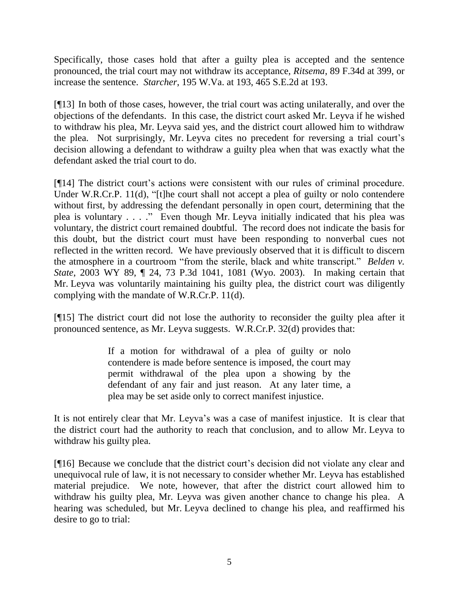Specifically, those cases hold that after a guilty plea is accepted and the sentence pronounced, the trial court may not withdraw its acceptance, *Ritsema*, 89 F.34d at 399, or increase the sentence. *Starcher*, 195 W.Va. at 193, 465 S.E.2d at 193.

[¶13] In both of those cases, however, the trial court was acting unilaterally, and over the objections of the defendants. In this case, the district court asked Mr. Leyva if he wished to withdraw his plea, Mr. Leyva said yes, and the district court allowed him to withdraw the plea. Not surprisingly, Mr. Leyva cites no precedent for reversing a trial court"s decision allowing a defendant to withdraw a guilty plea when that was exactly what the defendant asked the trial court to do.

[¶14] The district court's actions were consistent with our rules of criminal procedure. Under W.R.Cr.P. 11(d), "[t]he court shall not accept a plea of guilty or nolo contendere without first, by addressing the defendant personally in open court, determining that the plea is voluntary . . . ." Even though Mr. Leyva initially indicated that his plea was voluntary, the district court remained doubtful. The record does not indicate the basis for this doubt, but the district court must have been responding to nonverbal cues not reflected in the written record. We have previously observed that it is difficult to discern the atmosphere in a courtroom "from the sterile, black and white transcript." *Belden v. State*, 2003 WY 89, ¶ 24, 73 P.3d 1041, 1081 (Wyo. 2003). In making certain that Mr. Leyva was voluntarily maintaining his guilty plea, the district court was diligently complying with the mandate of W.R.Cr.P. 11(d).

[¶15] The district court did not lose the authority to reconsider the guilty plea after it pronounced sentence, as Mr. Leyva suggests. W.R.Cr.P. 32(d) provides that:

> If a motion for withdrawal of a plea of guilty or nolo contendere is made before sentence is imposed, the court may permit withdrawal of the plea upon a showing by the defendant of any fair and just reason. At any later time, a plea may be set aside only to correct manifest injustice.

It is not entirely clear that Mr. Leyva"s was a case of manifest injustice. It is clear that the district court had the authority to reach that conclusion, and to allow Mr. Leyva to withdraw his guilty plea.

[¶16] Because we conclude that the district court's decision did not violate any clear and unequivocal rule of law, it is not necessary to consider whether Mr. Leyva has established material prejudice. We note, however, that after the district court allowed him to withdraw his guilty plea, Mr. Leyva was given another chance to change his plea. A hearing was scheduled, but Mr. Leyva declined to change his plea, and reaffirmed his desire to go to trial: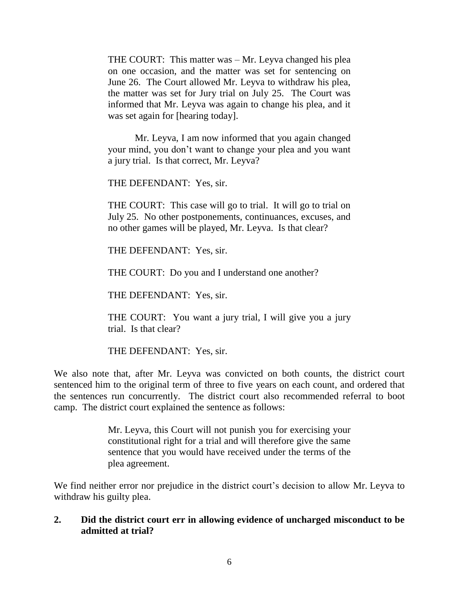THE COURT: This matter was – Mr. Leyva changed his plea on one occasion, and the matter was set for sentencing on June 26. The Court allowed Mr. Leyva to withdraw his plea, the matter was set for Jury trial on July 25. The Court was informed that Mr. Leyva was again to change his plea, and it was set again for [hearing today].

Mr. Leyva, I am now informed that you again changed your mind, you don"t want to change your plea and you want a jury trial. Is that correct, Mr. Leyva?

THE DEFENDANT: Yes, sir.

THE COURT: This case will go to trial. It will go to trial on July 25. No other postponements, continuances, excuses, and no other games will be played, Mr. Leyva. Is that clear?

THE DEFENDANT: Yes, sir.

THE COURT: Do you and I understand one another?

THE DEFENDANT: Yes, sir.

THE COURT: You want a jury trial, I will give you a jury trial. Is that clear?

THE DEFENDANT: Yes, sir.

We also note that, after Mr. Leyva was convicted on both counts, the district court sentenced him to the original term of three to five years on each count, and ordered that the sentences run concurrently. The district court also recommended referral to boot camp. The district court explained the sentence as follows:

> Mr. Leyva, this Court will not punish you for exercising your constitutional right for a trial and will therefore give the same sentence that you would have received under the terms of the plea agreement.

We find neither error nor prejudice in the district court's decision to allow Mr. Leyva to withdraw his guilty plea.

# **2. Did the district court err in allowing evidence of uncharged misconduct to be admitted at trial?**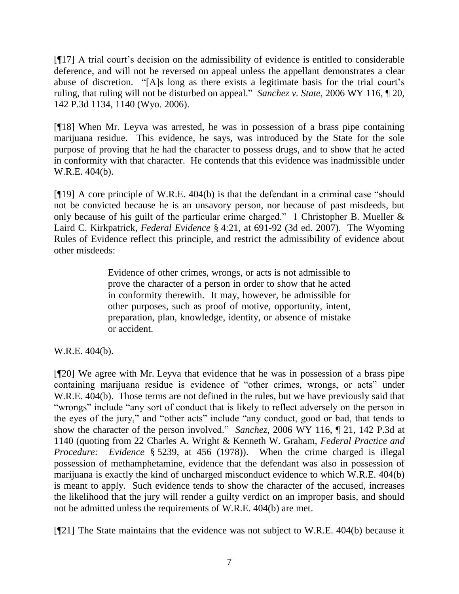[¶17] A trial court"s decision on the admissibility of evidence is entitled to considerable deference, and will not be reversed on appeal unless the appellant demonstrates a clear abuse of discretion. "[A]s long as there exists a legitimate basis for the trial court's ruling, that ruling will not be disturbed on appeal." *Sanchez v. State*, 2006 WY 116, ¶ 20, 142 P.3d 1134, 1140 (Wyo. 2006).

[¶18] When Mr. Leyva was arrested, he was in possession of a brass pipe containing marijuana residue. This evidence, he says, was introduced by the State for the sole purpose of proving that he had the character to possess drugs, and to show that he acted in conformity with that character. He contends that this evidence was inadmissible under W.R.E. 404(b).

[¶19] A core principle of W.R.E. 404(b) is that the defendant in a criminal case "should not be convicted because he is an unsavory person, nor because of past misdeeds, but only because of his guilt of the particular crime charged." 1 Christopher B. Mueller & Laird C. Kirkpatrick, *Federal Evidence* § 4:21, at 691-92 (3d ed. 2007). The Wyoming Rules of Evidence reflect this principle, and restrict the admissibility of evidence about other misdeeds:

> Evidence of other crimes, wrongs, or acts is not admissible to prove the character of a person in order to show that he acted in conformity therewith. It may, however, be admissible for other purposes, such as proof of motive, opportunity, intent, preparation, plan, knowledge, identity, or absence of mistake or accident.

W.R.E. 404(b).

[¶20] We agree with Mr. Leyva that evidence that he was in possession of a brass pipe containing marijuana residue is evidence of "other crimes, wrongs, or acts" under W.R.E. 404(b). Those terms are not defined in the rules, but we have previously said that "wrongs" include "any sort of conduct that is likely to reflect adversely on the person in the eyes of the jury," and "other acts" include "any conduct, good or bad, that tends to show the character of the person involved." *Sanchez*, 2006 WY 116, ¶ 21, 142 P.3d at 1140 (quoting from 22 Charles A. Wright & Kenneth W. Graham, *Federal Practice and Procedure: Evidence* § 5239, at 456 (1978)). When the crime charged is illegal possession of methamphetamine, evidence that the defendant was also in possession of marijuana is exactly the kind of uncharged misconduct evidence to which W.R.E. 404(b) is meant to apply. Such evidence tends to show the character of the accused, increases the likelihood that the jury will render a guilty verdict on an improper basis, and should not be admitted unless the requirements of W.R.E. 404(b) are met.

[¶21] The State maintains that the evidence was not subject to W.R.E. 404(b) because it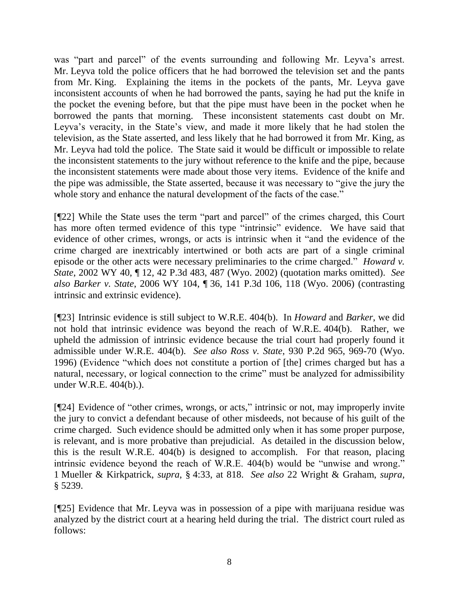was "part and parcel" of the events surrounding and following Mr. Leyva's arrest. Mr. Leyva told the police officers that he had borrowed the television set and the pants from Mr. King. Explaining the items in the pockets of the pants, Mr. Leyva gave inconsistent accounts of when he had borrowed the pants, saying he had put the knife in the pocket the evening before, but that the pipe must have been in the pocket when he borrowed the pants that morning. These inconsistent statements cast doubt on Mr. Leyva's veracity, in the State's view, and made it more likely that he had stolen the television, as the State asserted, and less likely that he had borrowed it from Mr. King, as Mr. Leyva had told the police. The State said it would be difficult or impossible to relate the inconsistent statements to the jury without reference to the knife and the pipe, because the inconsistent statements were made about those very items. Evidence of the knife and the pipe was admissible, the State asserted, because it was necessary to "give the jury the whole story and enhance the natural development of the facts of the case."

[¶22] While the State uses the term "part and parcel" of the crimes charged, this Court has more often termed evidence of this type "intrinsic" evidence. We have said that evidence of other crimes, wrongs, or acts is intrinsic when it "and the evidence of the crime charged are inextricably intertwined or both acts are part of a single criminal episode or the other acts were necessary preliminaries to the crime charged." *Howard v. State*, 2002 WY 40, ¶ 12*,* 42 P.3d 483, 487 (Wyo. 2002) (quotation marks omitted). *See also Barker v. State*, 2006 WY 104, ¶ 36, 141 P.3d 106, 118 (Wyo. 2006) (contrasting intrinsic and extrinsic evidence).

[¶23] Intrinsic evidence is still subject to W.R.E. 404(b). In *Howard* and *Barker*, we did not hold that intrinsic evidence was beyond the reach of W.R.E. 404(b). Rather, we upheld the admission of intrinsic evidence because the trial court had properly found it admissible under W.R.E. 404(b). *See also Ross v. State*, 930 P.2d 965, 969-70 (Wyo. 1996) (Evidence "which does not constitute a portion of [the] crimes charged but has a natural, necessary, or logical connection to the crime" must be analyzed for admissibility under W.R.E. 404(b).).

[¶24] Evidence of "other crimes, wrongs, or acts," intrinsic or not, may improperly invite the jury to convict a defendant because of other misdeeds, not because of his guilt of the crime charged. Such evidence should be admitted only when it has some proper purpose, is relevant, and is more probative than prejudicial. As detailed in the discussion below, this is the result W.R.E. 404(b) is designed to accomplish. For that reason, placing intrinsic evidence beyond the reach of W.R.E. 404(b) would be "unwise and wrong." 1 Mueller & Kirkpatrick, *supra*, § 4:33, at 818. *See also* 22 Wright & Graham, *supra,* § 5239.

[¶25] Evidence that Mr. Leyva was in possession of a pipe with marijuana residue was analyzed by the district court at a hearing held during the trial. The district court ruled as follows: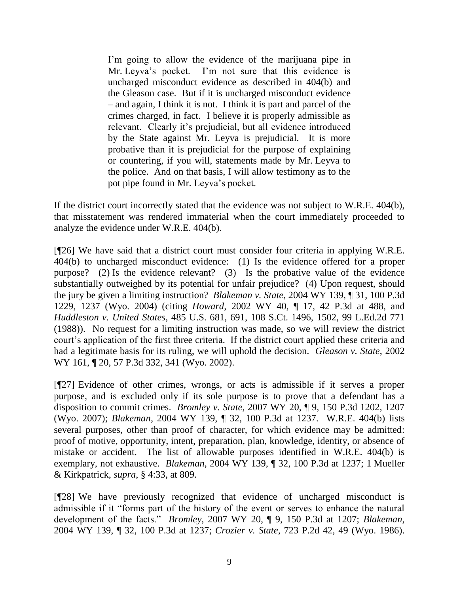I'm going to allow the evidence of the marijuana pipe in Mr. Leyva"s pocket. I"m not sure that this evidence is uncharged misconduct evidence as described in 404(b) and the Gleason case. But if it is uncharged misconduct evidence – and again, I think it is not. I think it is part and parcel of the crimes charged, in fact. I believe it is properly admissible as relevant. Clearly it's prejudicial, but all evidence introduced by the State against Mr. Leyva is prejudicial. It is more probative than it is prejudicial for the purpose of explaining or countering, if you will, statements made by Mr. Leyva to the police. And on that basis, I will allow testimony as to the pot pipe found in Mr. Leyva"s pocket.

If the district court incorrectly stated that the evidence was not subject to W.R.E. 404(b), that misstatement was rendered immaterial when the court immediately proceeded to analyze the evidence under W.R.E. 404(b).

[¶26] We have said that a district court must consider four criteria in applying W.R.E. 404(b) to uncharged misconduct evidence: (1) Is the evidence offered for a proper purpose? (2) Is the evidence relevant? (3) Is the probative value of the evidence substantially outweighed by its potential for unfair prejudice? (4) Upon request, should the jury be given a limiting instruction? *Blakeman v. State*, 2004 WY 139, ¶ 31, 100 P.3d 1229, 1237 (Wyo. 2004) (citing *Howard*, 2002 WY 40, ¶ 17, 42 P.3d at 488, and *Huddleston v. United States*, 485 U.S. 681, 691, 108 S.Ct. 1496, 1502, 99 L.Ed.2d 771 (1988)). No request for a limiting instruction was made, so we will review the district court's application of the first three criteria. If the district court applied these criteria and had a legitimate basis for its ruling, we will uphold the decision. *Gleason v. State*, 2002 WY 161, 120, 57 P.3d 332, 341 (Wyo. 2002).

[¶27] Evidence of other crimes, wrongs, or acts is admissible if it serves a proper purpose, and is excluded only if its sole purpose is to prove that a defendant has a disposition to commit crimes. *Bromley v. State*, 2007 WY 20, ¶ 9, 150 P.3d 1202, 1207 (Wyo. 2007); *Blakeman*, 2004 WY 139, ¶ 32, 100 P.3d at 1237. W.R.E. 404(b) lists several purposes, other than proof of character, for which evidence may be admitted: proof of motive, opportunity, intent, preparation, plan, knowledge, identity, or absence of mistake or accident. The list of allowable purposes identified in W.R.E. 404(b) is exemplary, not exhaustive. *Blakeman*, 2004 WY 139, ¶ 32, 100 P.3d at 1237; 1 Mueller & Kirkpatrick, *supra*, § 4:33, at 809.

[¶28] We have previously recognized that evidence of uncharged misconduct is admissible if it "forms part of the history of the event or serves to enhance the natural development of the facts." *Bromley*, 2007 WY 20, ¶ 9, 150 P.3d at 1207; *Blakeman*, 2004 WY 139, ¶ 32, 100 P.3d at 1237; *Crozier v. State*, 723 P.2d 42, 49 (Wyo. 1986).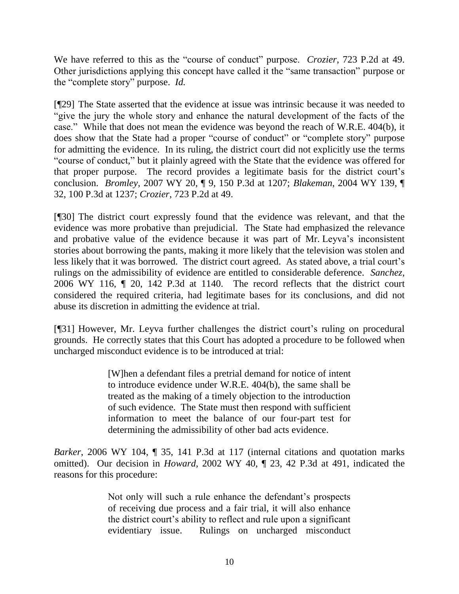We have referred to this as the "course of conduct" purpose. *Crozier*, 723 P.2d at 49. Other jurisdictions applying this concept have called it the "same transaction" purpose or the "complete story" purpose. *Id.*

[¶29] The State asserted that the evidence at issue was intrinsic because it was needed to "give the jury the whole story and enhance the natural development of the facts of the case." While that does not mean the evidence was beyond the reach of W.R.E. 404(b), it does show that the State had a proper "course of conduct" or "complete story" purpose for admitting the evidence. In its ruling, the district court did not explicitly use the terms "course of conduct," but it plainly agreed with the State that the evidence was offered for that proper purpose. The record provides a legitimate basis for the district court"s conclusion. *Bromley*, 2007 WY 20, ¶ 9, 150 P.3d at 1207; *Blakeman*, 2004 WY 139, ¶ 32, 100 P.3d at 1237; *Crozier*, 723 P.2d at 49.

[¶30] The district court expressly found that the evidence was relevant, and that the evidence was more probative than prejudicial. The State had emphasized the relevance and probative value of the evidence because it was part of Mr. Leyva's inconsistent stories about borrowing the pants, making it more likely that the television was stolen and less likely that it was borrowed. The district court agreed. As stated above, a trial court's rulings on the admissibility of evidence are entitled to considerable deference. *Sanchez*, 2006 WY 116, ¶ 20, 142 P.3d at 1140. The record reflects that the district court considered the required criteria, had legitimate bases for its conclusions, and did not abuse its discretion in admitting the evidence at trial.

[¶31] However, Mr. Leyva further challenges the district court's ruling on procedural grounds. He correctly states that this Court has adopted a procedure to be followed when uncharged misconduct evidence is to be introduced at trial:

> [W]hen a defendant files a pretrial demand for notice of intent to introduce evidence under W.R.E. 404(b), the same shall be treated as the making of a timely objection to the introduction of such evidence. The State must then respond with sufficient information to meet the balance of our four-part test for determining the admissibility of other bad acts evidence.

*Barker*, 2006 WY 104, *[9]* 35, 141 P.3d at 117 (internal citations and quotation marks omitted). Our decision in *Howard*, 2002 WY 40, ¶ 23, 42 P.3d at 491, indicated the reasons for this procedure:

> Not only will such a rule enhance the defendant's prospects of receiving due process and a fair trial, it will also enhance the district court"s ability to reflect and rule upon a significant evidentiary issue. Rulings on uncharged misconduct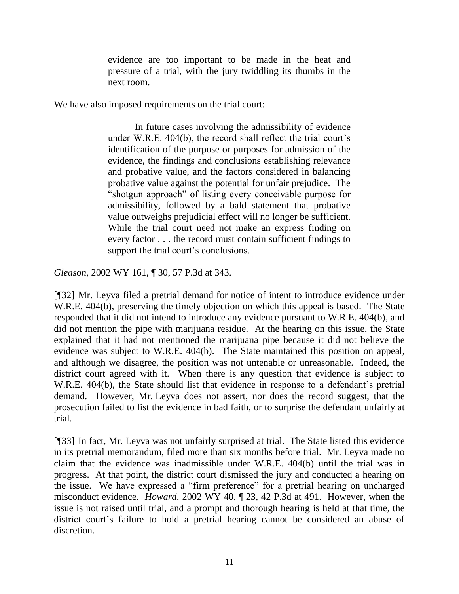evidence are too important to be made in the heat and pressure of a trial, with the jury twiddling its thumbs in the next room.

We have also imposed requirements on the trial court:

In future cases involving the admissibility of evidence under W.R.E. 404(b), the record shall reflect the trial court's identification of the purpose or purposes for admission of the evidence, the findings and conclusions establishing relevance and probative value, and the factors considered in balancing probative value against the potential for unfair prejudice. The "shotgun approach" of listing every conceivable purpose for admissibility, followed by a bald statement that probative value outweighs prejudicial effect will no longer be sufficient. While the trial court need not make an express finding on every factor . . . the record must contain sufficient findings to support the trial court's conclusions.

*Gleason*, 2002 WY 161, ¶ 30, 57 P.3d at 343.

[¶32] Mr. Leyva filed a pretrial demand for notice of intent to introduce evidence under W.R.E. 404(b), preserving the timely objection on which this appeal is based. The State responded that it did not intend to introduce any evidence pursuant to W.R.E. 404(b), and did not mention the pipe with marijuana residue. At the hearing on this issue, the State explained that it had not mentioned the marijuana pipe because it did not believe the evidence was subject to W.R.E. 404(b). The State maintained this position on appeal, and although we disagree, the position was not untenable or unreasonable. Indeed, the district court agreed with it. When there is any question that evidence is subject to W.R.E. 404(b), the State should list that evidence in response to a defendant's pretrial demand. However, Mr. Leyva does not assert, nor does the record suggest, that the prosecution failed to list the evidence in bad faith, or to surprise the defendant unfairly at trial.

[¶33] In fact, Mr. Leyva was not unfairly surprised at trial. The State listed this evidence in its pretrial memorandum, filed more than six months before trial. Mr. Leyva made no claim that the evidence was inadmissible under W.R.E. 404(b) until the trial was in progress. At that point, the district court dismissed the jury and conducted a hearing on the issue. We have expressed a "firm preference" for a pretrial hearing on uncharged misconduct evidence. *Howard*, 2002 WY 40, ¶ 23, 42 P.3d at 491. However, when the issue is not raised until trial, and a prompt and thorough hearing is held at that time, the district court's failure to hold a pretrial hearing cannot be considered an abuse of discretion.